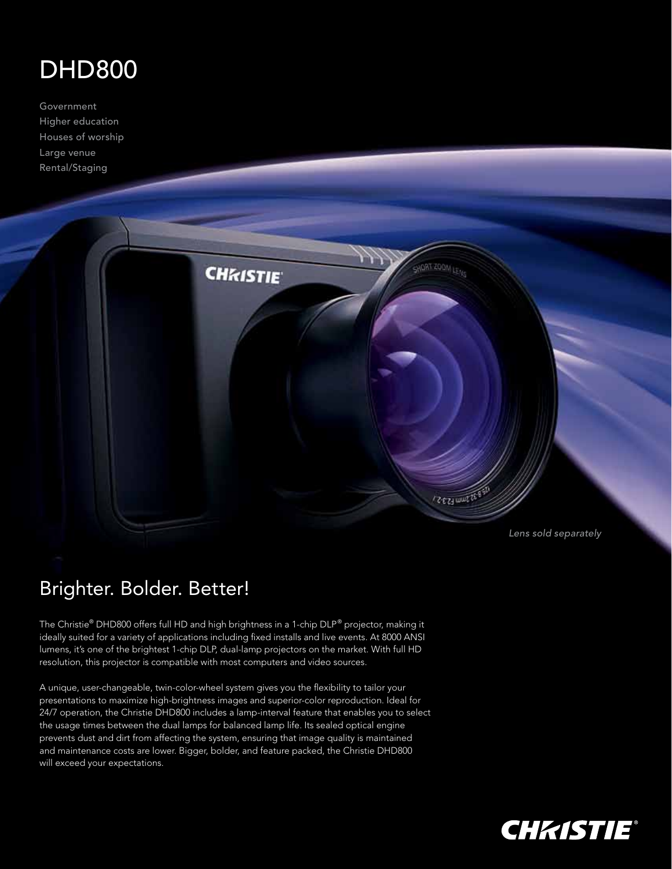## **DHD800**

Government Higher education Houses of worship Large venue Rental/Staging



## Brighter. Bolder. Better!

The Christie® DHD800 offers full HD and high brightness in a 1-chip DLP® projector, making it ideally suited for a variety of applications including fixed installs and live events. At 8000 ANSI lumens, it's one of the brightest 1-chip DLP, dual-lamp projectors on the market. With full HD resolution, this projector is compatible with most computers and video sources.

A unique, user-changeable, twin-color-wheel system gives you the flexibility to tailor your presentations to maximize high-brightness images and superior-color reproduction. Ideal for 24/7 operation, the Christie DHD800 includes a lamp-interval feature that enables you to select the usage times between the dual lamps for balanced lamp life. Its sealed optical engine prevents dust and dirt from affecting the system, ensuring that image quality is maintained and maintenance costs are lower. Bigger, bolder, and feature packed, the Christie DHD800 will exceed your expectations.